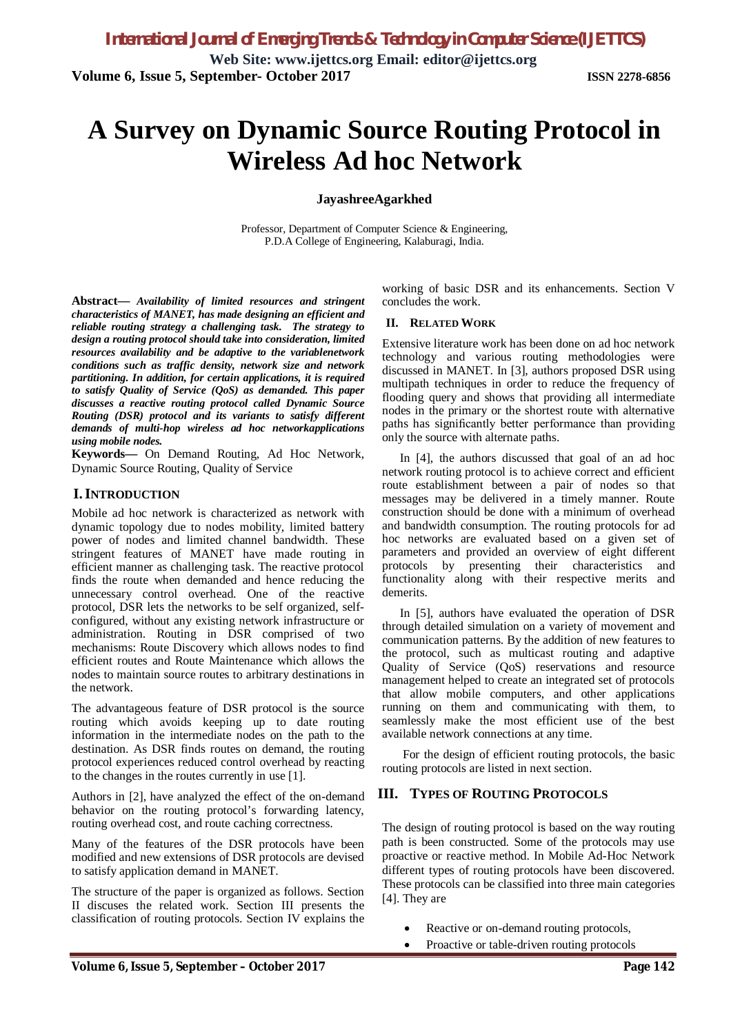# **A Survey on Dynamic Source Routing Protocol in Wireless Ad hoc Network**

#### **JayashreeAgarkhed**

Professor, Department of Computer Science & Engineering, P.D.A College of Engineering, Kalaburagi, India.

**Abstract—** *Availability of limited resources and stringent characteristics of MANET, has made designing an efficient and reliable routing strategy a challenging task. The strategy to design a routing protocol should take into consideration, limited resources availability and be adaptive to the variablenetwork conditions such as traffic density, network size and network partitioning. In addition, for certain applications, it is required to satisfy Quality of Service (QoS) as demanded. This paper discusses a reactive routing protocol called Dynamic Source Routing (DSR) protocol and its variants to satisfy different demands of multi-hop wireless ad hoc networkapplications using mobile nodes.*

**Keywords—** On Demand Routing, Ad Hoc Network, Dynamic Source Routing, Quality of Service

#### **I.INTRODUCTION**

Mobile ad hoc network is characterized as network with dynamic topology due to nodes mobility, limited battery power of nodes and limited channel bandwidth. These stringent features of MANET have made routing in efficient manner as challenging task. The reactive protocol finds the route when demanded and hence reducing the unnecessary control overhead. One of the reactive protocol, DSR lets the networks to be self organized, selfconfigured, without any existing network infrastructure or administration. Routing in DSR comprised of two mechanisms: Route Discovery which allows nodes to find efficient routes and Route Maintenance which allows the nodes to maintain source routes to arbitrary destinations in the network.

The advantageous feature of DSR protocol is the source routing which avoids keeping up to date routing information in the intermediate nodes on the path to the destination. As DSR finds routes on demand, the routing protocol experiences reduced control overhead by reacting to the changes in the routes currently in use [1].

Authors in [2], have analyzed the effect of the on-demand behavior on the routing protocol's forwarding latency, routing overhead cost, and route caching correctness.

Many of the features of the DSR protocols have been modified and new extensions of DSR protocols are devised to satisfy application demand in MANET.

The structure of the paper is organized as follows. Section II discuses the related work. Section III presents the classification of routing protocols. Section IV explains the working of basic DSR and its enhancements. Section V concludes the work.

#### **II. RELATED WORK**

Extensive literature work has been done on ad hoc network technology and various routing methodologies were discussed in MANET. In [3], authors proposed DSR using multipath techniques in order to reduce the frequency of flooding query and shows that providing all intermediate nodes in the primary or the shortest route with alternative paths has significantly better performance than providing only the source with alternate paths.

In [4], the authors discussed that goal of an ad hoc network routing protocol is to achieve correct and efficient route establishment between a pair of nodes so that messages may be delivered in a timely manner. Route construction should be done with a minimum of overhead and bandwidth consumption. The routing protocols for ad hoc networks are evaluated based on a given set of parameters and provided an overview of eight different protocols by presenting their characteristics and functionality along with their respective merits and demerits.

In [5], authors have evaluated the operation of DSR through detailed simulation on a variety of movement and communication patterns. By the addition of new features to the protocol, such as multicast routing and adaptive Quality of Service (QoS) reservations and resource management helped to create an integrated set of protocols that allow mobile computers, and other applications running on them and communicating with them, to seamlessly make the most efficient use of the best available network connections at any time.

For the design of efficient routing protocols, the basic routing protocols are listed in next section.

### **III. TYPES OF ROUTING PROTOCOLS**

The design of routing protocol is based on the way routing path is been constructed. Some of the protocols may use proactive or reactive method. In Mobile Ad-Hoc Network different types of routing protocols have been discovered. These protocols can be classified into three main categories [4]. They are

- Reactive or on-demand routing protocols,
- Proactive or table-driven routing protocols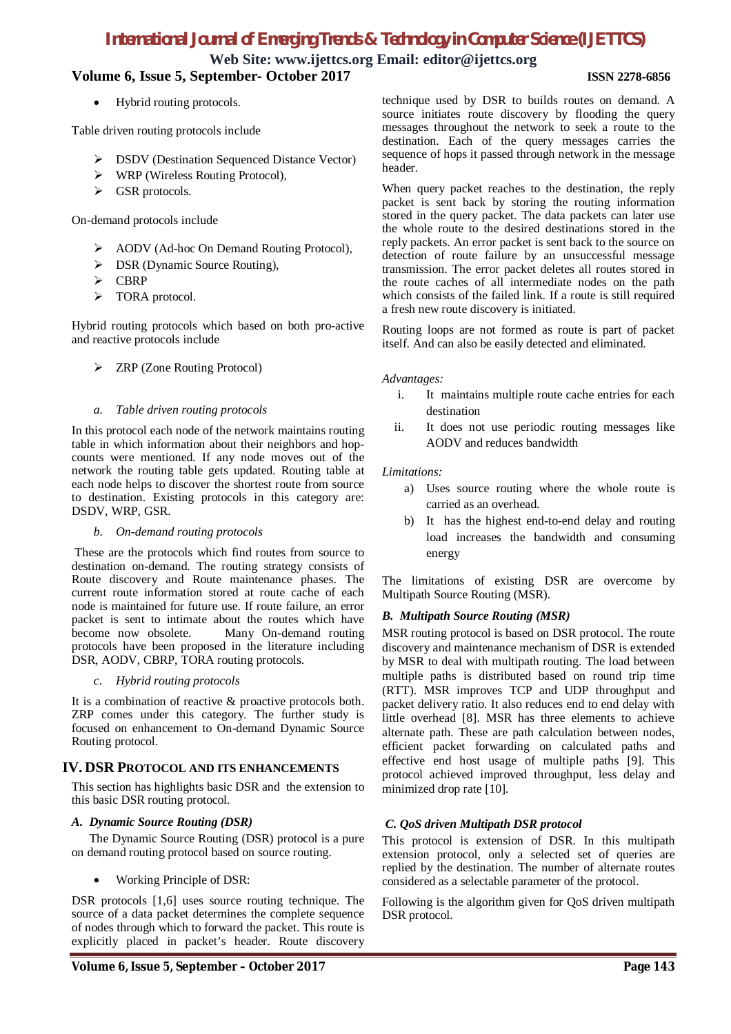# *International Journal of Emerging Trends & Technology in Computer Science (IJETTCS)*

**Web Site: www.ijettcs.org Email: editor@ijettcs.org**

## **Volume 6, Issue 5, September- October 2017 ISSN 2278-6856**

Hybrid routing protocols.

Table driven routing protocols include

- ▶ DSDV (Destination Sequenced Distance Vector)
- WRP (Wireless Routing Protocol),
- GSR protocols.

On-demand protocols include

- AODV (Ad-hoc On Demand Routing Protocol),
- ▶ DSR (Dynamic Source Routing),
- > CBRP
- > TORA protocol.

Hybrid routing protocols which based on both pro-active and reactive protocols include

> ZRP (Zone Routing Protocol)

#### *a. Table driven routing protocols*

In this protocol each node of the network maintains routing table in which information about their neighbors and hopcounts were mentioned. If any node moves out of the network the routing table gets updated. Routing table at each node helps to discover the shortest route from source to destination. Existing protocols in this category are: DSDV, WRP, GSR.

*b. On-demand routing protocols*

These are the protocols which find routes from source to destination on-demand. The routing strategy consists of Route discovery and Route maintenance phases. The current route information stored at route cache of each node is maintained for future use. If route failure, an error packet is sent to intimate about the routes which have become now obsolete. Many On-demand routing protocols have been proposed in the literature including DSR, AODV, CBRP, TORA routing protocols.

#### *c. Hybrid routing protocols*

It is a combination of reactive & proactive protocols both. ZRP comes under this category. The further study is focused on enhancement to On-demand Dynamic Source Routing protocol.

#### **IV. DSR PROTOCOL AND ITS ENHANCEMENTS**

This section has highlights basic DSR and the extension to this basic DSR routing protocol.

#### *A. Dynamic Source Routing (DSR)*

The Dynamic Source Routing (DSR) protocol is a pure on demand routing protocol based on source routing.

Working Principle of DSR:

DSR protocols [1,6] uses source routing technique. The source of a data packet determines the complete sequence of nodes through which to forward the packet. This route is explicitly placed in packet's header. Route discovery

technique used by DSR to builds routes on demand. A source initiates route discovery by flooding the query messages throughout the network to seek a route to the destination. Each of the query messages carries the sequence of hops it passed through network in the message header.

When query packet reaches to the destination, the reply packet is sent back by storing the routing information stored in the query packet. The data packets can later use the whole route to the desired destinations stored in the reply packets. An error packet is sent back to the source on detection of route failure by an unsuccessful message transmission. The error packet deletes all routes stored in the route caches of all intermediate nodes on the path which consists of the failed link. If a route is still required a fresh new route discovery is initiated.

Routing loops are not formed as route is part of packet itself. And can also be easily detected and eliminated.

#### *Advantages:*

- i. It maintains multiple route cache entries for each destination
- ii. It does not use periodic routing messages like AODV and reduces bandwidth

#### *Limitations:*

- a) Uses source routing where the whole route is carried as an overhead.
- b) It has the highest end-to-end delay and routing load increases the bandwidth and consuming energy

The limitations of existing DSR are overcome by Multipath Source Routing (MSR).

#### *B. Multipath Source Routing (MSR)*

MSR routing protocol is based on DSR protocol. The route discovery and maintenance mechanism of DSR is extended by MSR to deal with multipath routing. The load between multiple paths is distributed based on round trip time (RTT). MSR improves TCP and UDP throughput and packet delivery ratio. It also reduces end to end delay with little overhead [8]. MSR has three elements to achieve alternate path. These are path calculation between nodes, efficient packet forwarding on calculated paths and effective end host usage of multiple paths [9]. This protocol achieved improved throughput, less delay and minimized drop rate [10].

#### *C. QoS driven Multipath DSR protocol*

This protocol is extension of DSR. In this multipath extension protocol, only a selected set of queries are replied by the destination. The number of alternate routes considered as a selectable parameter of the protocol.

Following is the algorithm given for QoS driven multipath DSR protocol.